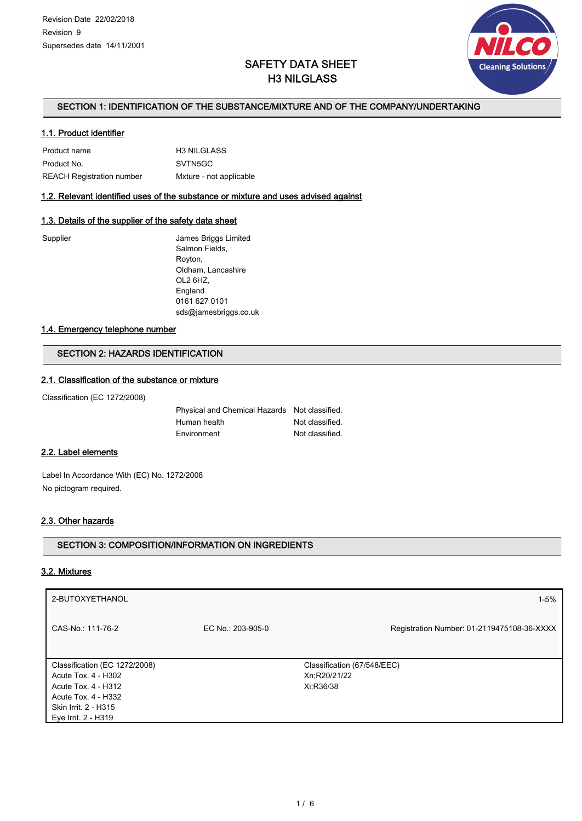

# SAFETY DATA SHEET H3 NILGLASS

## SECTION 1: IDENTIFICATION OF THE SUBSTANCE/MIXTURE AND OF THE COMPANY/UNDERTAKING

### 1.1. Product identifier

| Product name              | <b>H3 NILGLASS</b>      |
|---------------------------|-------------------------|
| Product No.               | SVTN5GC                 |
| REACH Registration number | Mxture - not applicable |

## 1.2. Relevant identified uses of the substance or mixture and uses advised against

## 1.3. Details of the supplier of the safety data sheet

James Briggs Limited Salmon Fields, Royton, Oldham, Lancashire OL2 6HZ, England 0161 627 0101 sds@jamesbriggs.co.uk

### 1.4. Emergency telephone number

## SECTION 2: HAZARDS IDENTIFICATION

### 2.1. Classification of the substance or mixture

Classification (EC 1272/2008)

| Physical and Chemical Hazards Not classified. |                 |
|-----------------------------------------------|-----------------|
| Human health                                  | Not classified. |
| Environment                                   | Not classified. |

## 2.2. Label elements

Label In Accordance With (EC) No. 1272/2008 No pictogram required.

## 2.3. Other hazards

## SECTION 3: COMPOSITION/INFORMATION ON INGREDIENTS

### 3.2. Mixtures

| 2-BUTOXYETHANOL                                      |                   | $1 - 5%$                                    |
|------------------------------------------------------|-------------------|---------------------------------------------|
| CAS-No.: 111-76-2                                    | EC No.: 203-905-0 | Registration Number: 01-2119475108-36-XXXX  |
| Classification (EC 1272/2008)<br>Acute Tox. 4 - H302 |                   | Classification (67/548/EEC)<br>Xn;R20/21/22 |
| Acute Tox. 4 - H312                                  |                   | Xi:R36/38                                   |
| Acute Tox. 4 - H332                                  |                   |                                             |
| Skin Irrit. 2 - H315                                 |                   |                                             |
| Eye Irrit. 2 - H319                                  |                   |                                             |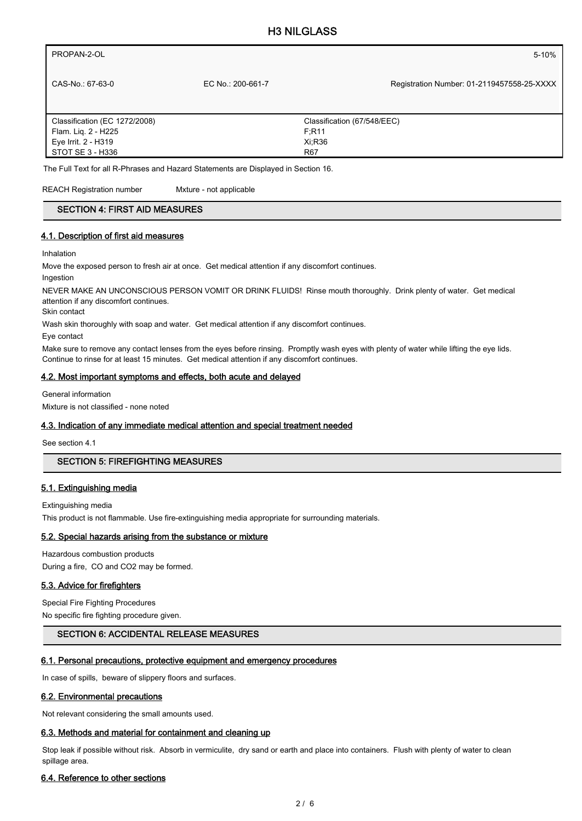| PROPAN-2-OL                   |                   | 5-10%                                      |
|-------------------------------|-------------------|--------------------------------------------|
| CAS-No.: 67-63-0              | EC No.: 200-661-7 | Registration Number: 01-2119457558-25-XXXX |
| Classification (EC 1272/2008) |                   | Classification (67/548/EEC)                |
| Flam. Lig. 2 - H225           |                   | F:R11                                      |
| Eye Irrit. 2 - H319           |                   | Xi:R36                                     |
| STOT SE 3 - H336              |                   | <b>R67</b>                                 |
|                               |                   |                                            |

The Full Text for all R-Phrases and Hazard Statements are Displayed in Section 16.

REACH Registration number Mxture - not applicable

## SECTION 4: FIRST AID MEASURES

### 4.1. Description of first aid measures

Inhalation

Move the exposed person to fresh air at once. Get medical attention if any discomfort continues.

Ingestion

NEVER MAKE AN UNCONSCIOUS PERSON VOMIT OR DRINK FLUIDS! Rinse mouth thoroughly. Drink plenty of water. Get medical attention if any discomfort continues.

Skin contact

Wash skin thoroughly with soap and water. Get medical attention if any discomfort continues.

Eye contact

Make sure to remove any contact lenses from the eyes before rinsing. Promptly wash eyes with plenty of water while lifting the eye lids. Continue to rinse for at least 15 minutes. Get medical attention if any discomfort continues.

### 4.2. Most important symptoms and effects, both acute and delayed

General information Mixture is not classified - none noted

## 4.3. Indication of any immediate medical attention and special treatment needed

See section 4.1

## SECTION 5: FIREFIGHTING MEASURES

## 5.1. Extinguishing media

Extinguishing media

This product is not flammable. Use fire-extinguishing media appropriate for surrounding materials.

### 5.2. Special hazards arising from the substance or mixture

Hazardous combustion products During a fire, CO and CO2 may be formed.

### 5.3. Advice for firefighters

Special Fire Fighting Procedures No specific fire fighting procedure given.

### SECTION 6: ACCIDENTAL RELEASE MEASURES

## 6.1. Personal precautions, protective equipment and emergency procedures

In case of spills, beware of slippery floors and surfaces.

### 6.2. Environmental precautions

Not relevant considering the small amounts used.

### 6.3. Methods and material for containment and cleaning up

Stop leak if possible without risk. Absorb in vermiculite, dry sand or earth and place into containers. Flush with plenty of water to clean spillage area.

### 6.4. Reference to other sections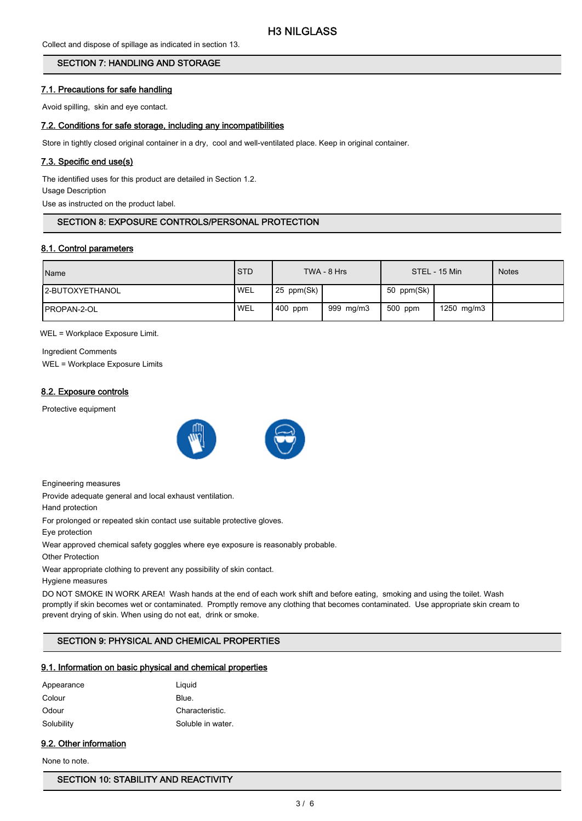Collect and dispose of spillage as indicated in section 13.

## SECTION 7: HANDLING AND STORAGE

### 7.1. Precautions for safe handling

Avoid spilling, skin and eye contact.

### 7.2. Conditions for safe storage, including any incompatibilities

Store in tightly closed original container in a dry, cool and well-ventilated place. Keep in original container.

## 7.3. Specific end use(s)

The identified uses for this product are detailed in Section 1.2. Usage Description Use as instructed on the product label.

## SECTION 8: EXPOSURE CONTROLS/PERSONAL PROTECTION

### 8.1. Control parameters

| Name                    | <b>STD</b> |              | TWA - 8 Hrs |            | STEL - 15 Min | <b>Notes</b> |
|-------------------------|------------|--------------|-------------|------------|---------------|--------------|
| <b>I2-BUTOXYETHANOL</b> | <b>WEL</b> | $25$ ppm(Sk) |             | 50 ppm(Sk) |               |              |
| IPROPAN-2-OL            | <b>WEL</b> | 400 ppm      | 999 mg/m3   | 500 ppm    | 1250 mg/m3    |              |

WEL = Workplace Exposure Limit.

Ingredient Comments WEL = Workplace Exposure Limits

### 8.2. Exposure controls

Protective equipment



Engineering measures

Provide adequate general and local exhaust ventilation.

Hand protection

For prolonged or repeated skin contact use suitable protective gloves.

Eye protection

Wear approved chemical safety goggles where eye exposure is reasonably probable.

Other Protection

Wear appropriate clothing to prevent any possibility of skin contact.

Hygiene measures

DO NOT SMOKE IN WORK AREA! Wash hands at the end of each work shift and before eating, smoking and using the toilet. Wash promptly if skin becomes wet or contaminated. Promptly remove any clothing that becomes contaminated. Use appropriate skin cream to prevent drying of skin. When using do not eat, drink or smoke.

## SECTION 9: PHYSICAL AND CHEMICAL PROPERTIES

### 9.1. Information on basic physical and chemical properties

| Appearance | Liguid            |
|------------|-------------------|
| Colour     | Blue.             |
| Odour      | Characteristic.   |
| Solubility | Soluble in water. |

## 9.2. Other information

None to note.

### SECTION 10: STABILITY AND REACTIVITY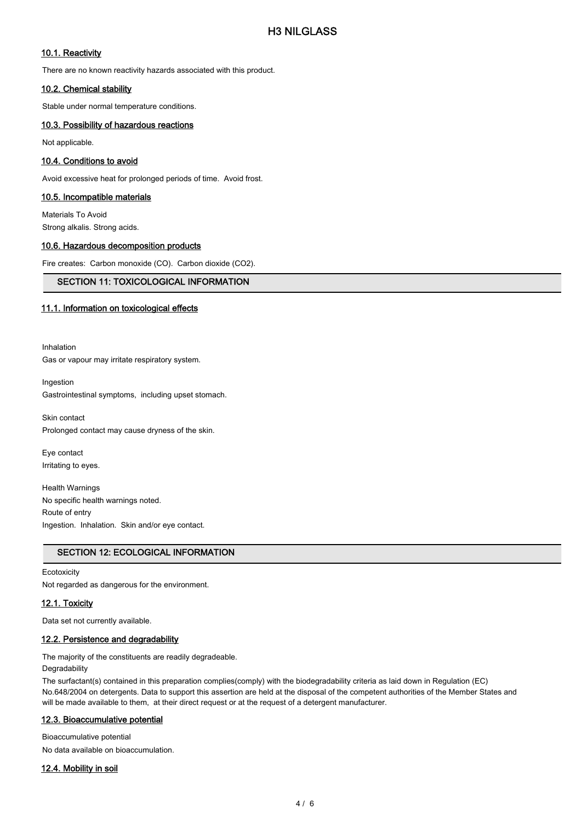## 10.1. Reactivity

There are no known reactivity hazards associated with this product.

### 10.2. Chemical stability

Stable under normal temperature conditions.

### 10.3. Possibility of hazardous reactions

Not applicable.

### 10.4. Conditions to avoid

Avoid excessive heat for prolonged periods of time. Avoid frost.

### 10.5. Incompatible materials

Materials To Avoid Strong alkalis. Strong acids.

### 10.6. Hazardous decomposition products

Fire creates: Carbon monoxide (CO). Carbon dioxide (CO2).

### SECTION 11: TOXICOLOGICAL INFORMATION

## 11.1. Information on toxicological effects

Inhalation Gas or vapour may irritate respiratory system.

Ingestion

Gastrointestinal symptoms, including upset stomach.

Skin contact Prolonged contact may cause dryness of the skin.

Eye contact Irritating to eyes.

Health Warnings No specific health warnings noted. Route of entry Ingestion. Inhalation. Skin and/or eye contact.

### SECTION 12: ECOLOGICAL INFORMATION

## **Ecotoxicity** Not regarded as dangerous for the environment.

### 12.1. Toxicity

Data set not currently available.

### 12.2. Persistence and degradability

The majority of the constituents are readily degradeable.

## Degradability

The surfactant(s) contained in this preparation complies(comply) with the biodegradability criteria as laid down in Regulation (EC) No.648/2004 on detergents. Data to support this assertion are held at the disposal of the competent authorities of the Member States and will be made available to them, at their direct request or at the request of a detergent manufacturer.

### 12.3. Bioaccumulative potential

Bioaccumulative potential No data available on bioaccumulation.

12.4. Mobility in soil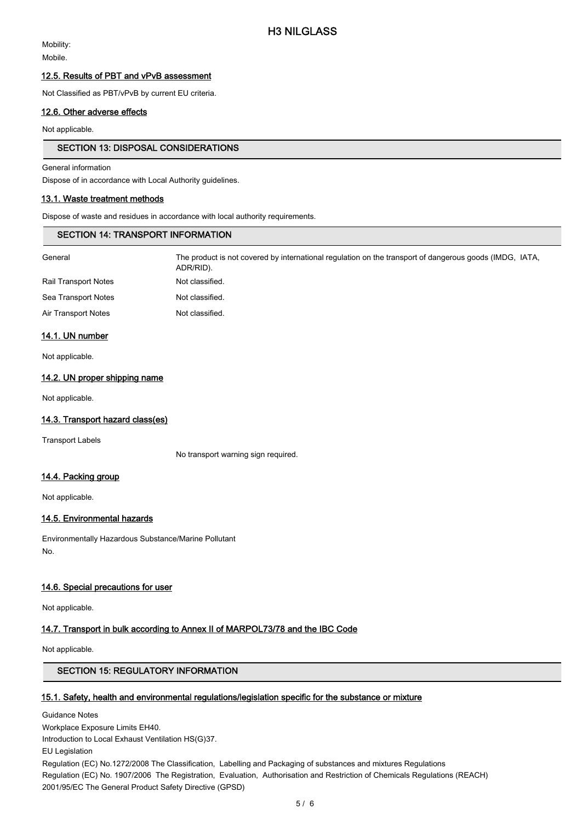Mobility: Mobile.

### 12.5. Results of PBT and vPvB assessment

Not Classified as PBT/vPvB by current EU criteria.

### 12.6. Other adverse effects

Not applicable.

### SECTION 13: DISPOSAL CONSIDERATIONS

General information

Dispose of in accordance with Local Authority guidelines.

### 13.1. Waste treatment methods

Dispose of waste and residues in accordance with local authority requirements.

| <b>SECTION 14: TRANSPORT INFORMATION</b> |                                                                                                                      |  |  |
|------------------------------------------|----------------------------------------------------------------------------------------------------------------------|--|--|
| General                                  | The product is not covered by international regulation on the transport of dangerous goods (IMDG, IATA,<br>ADR/RID). |  |  |
| <b>Rail Transport Notes</b>              | Not classified.                                                                                                      |  |  |
| Sea Transport Notes                      | Not classified.                                                                                                      |  |  |
| Air Transport Notes                      | Not classified.                                                                                                      |  |  |
|                                          |                                                                                                                      |  |  |

### 14.1. UN number

Not applicable.

### 14.2. UN proper shipping name

Not applicable.

### 14.3. Transport hazard class(es)

Transport Labels

No transport warning sign required.

### 14.4. Packing group

Not applicable.

### 14.5. Environmental hazards

Environmentally Hazardous Substance/Marine Pollutant No.

### 14.6. Special precautions for user

Not applicable.

### 14.7. Transport in bulk according to Annex II of MARPOL73/78 and the IBC Code

Not applicable.

## SECTION 15: REGULATORY INFORMATION

### 15.1. Safety, health and environmental regulations/legislation specific for the substance or mixture

Guidance Notes Workplace Exposure Limits EH40. Introduction to Local Exhaust Ventilation HS(G)37. EU Legislation Regulation (EC) No.1272/2008 The Classification, Labelling and Packaging of substances and mixtures Regulations Regulation (EC) No. 1907/2006 The Registration, Evaluation, Authorisation and Restriction of Chemicals Regulations (REACH) 2001/95/EC The General Product Safety Directive (GPSD)